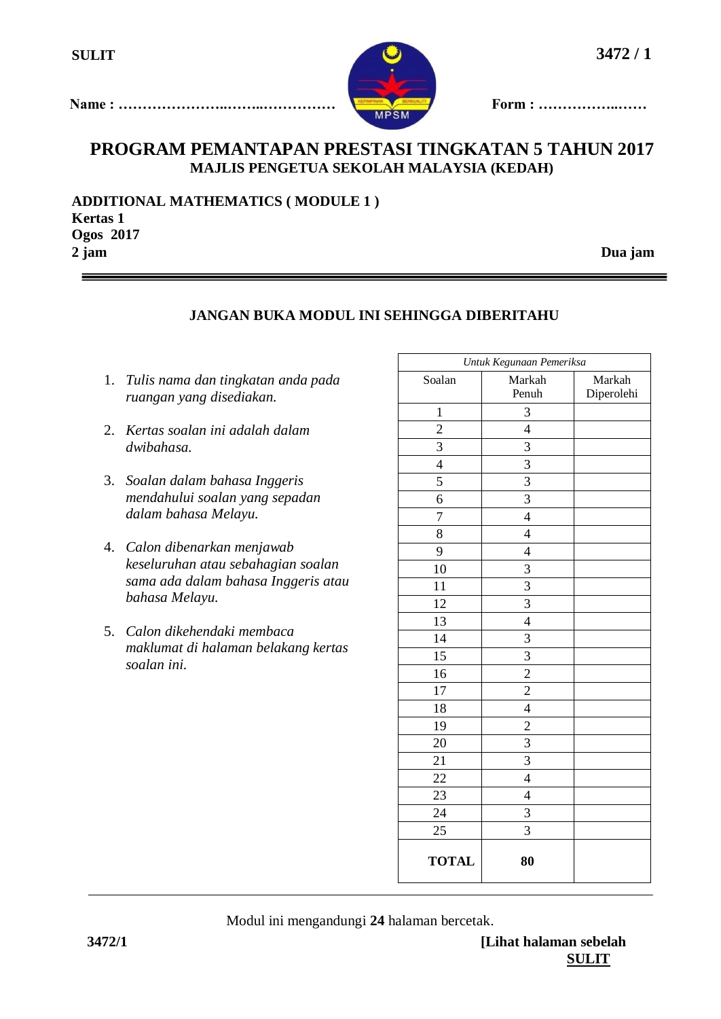

**Name : …………………..……..…………… Form : ……………..……**

# **PROGRAM PEMANTAPAN PRESTASI TINGKATAN 5 TAHUN 2017 MAJLIS PENGETUA SEKOLAH MALAYSIA (KEDAH)**

**ADDITIONAL MATHEMATICS ( MODULE 1 ) Kertas 1 Ogos 2017 2 jam Dua jam**

## **JANGAN BUKA MODUL INI SEHINGGA DIBERITAHU**

- 1. *Tulis nama dan tingkatan anda pada ruangan yang disediakan.*
- 2. *Kertas soalan ini adalah dalam dwibahasa.*
- 3. *Soalan dalam bahasa Inggeris mendahului soalan yang sepadan dalam bahasa Melayu.*
- 4. *Calon dibenarkan menjawab keseluruhan atau sebahagian soalan sama ada dalam bahasa Inggeris atau bahasa Melayu.*
- 5. *Calon dikehendaki membaca maklumat di halaman belakang kertas soalan ini.*

|                 | Untuk Kegunaan Pemeriksa |                      |
|-----------------|--------------------------|----------------------|
| Soalan          | Markah<br>Penuh          | Markah<br>Diperolehi |
| $\mathbf 1$     | 3                        |                      |
| $\overline{c}$  | $\overline{4}$           |                      |
| 3               | $\overline{\mathbf{3}}$  |                      |
| $\overline{4}$  | $\overline{3}$           |                      |
| 5               | $\overline{3}$           |                      |
| 6               | $\overline{\mathbf{3}}$  |                      |
| 7               | $\overline{4}$           |                      |
| 8               | $\overline{4}$           |                      |
| 9               | $\overline{4}$           |                      |
| 10              | 3                        |                      |
| 11              | $\overline{3}$           |                      |
| 12              | $\overline{3}$           |                      |
| 13              | $\overline{4}$           |                      |
| 14              | 3                        |                      |
| 15              | $\overline{3}$           |                      |
| 16              | $\overline{c}$           |                      |
| $\overline{17}$ | $\overline{2}$           |                      |
| 18              | $\overline{4}$           |                      |
| 19              | $\overline{c}$           |                      |
| 20              | 3                        |                      |
| $\overline{21}$ | $\overline{3}$           |                      |
| 22              | $\overline{4}$           |                      |
| 23              | $\overline{4}$           |                      |
| 24              | 3                        |                      |
| 25              | $\overline{3}$           |                      |
| <b>TOTAL</b>    | 80                       |                      |

Modul ini mengandungi **24** halaman bercetak.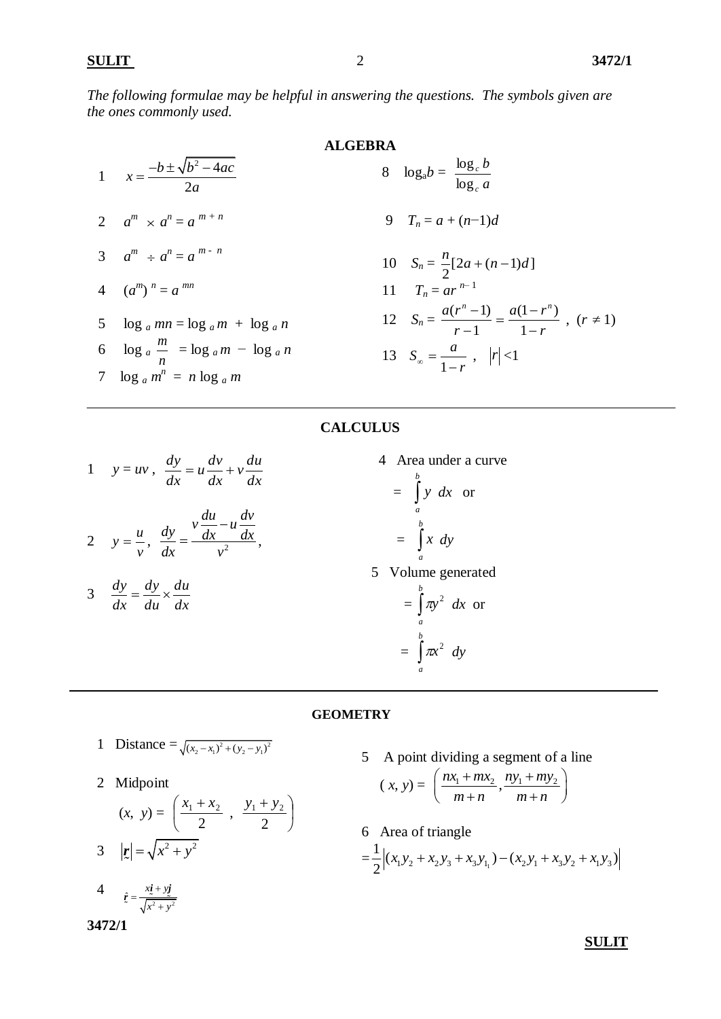*The following formulae may be helpful in answering the questions. The symbols given are the ones commonly used.*

1 
$$
x = \frac{-b \pm \sqrt{b^2 - 4ac}}{2a}
$$
  
\n2 
$$
a^m \times a^n = a^{m+n}
$$
  
\n3 
$$
a^m \div a^n = a^{m-n}
$$
  
\n4 
$$
(a^m)^n = a^{mn}
$$
  
\n5 
$$
\log a \, mn = \log a \, m + \log a \, n
$$
  
\n6 
$$
\log a \, \frac{m}{n} = \log a \, m - \log a \, n
$$
  
\n7 
$$
\log a \, m^n = n \log a \, m
$$

**ALGEBRA**  
8 
$$
log_a b = \frac{log_c}{log_c}
$$

$$
9 \quad T_n = a + (n-1)d
$$

10 
$$
S_n = \frac{n}{2} [2a + (n-1)d]
$$
  
\n11  $T_n = ar^{n-1}$   
\n12  $S_n = \frac{a(r^n - 1)}{r - 1} = \frac{a(1 - r^n)}{1 - r}$ ,  $(r \neq 1)$   
\n13  $S_\infty = \frac{a}{1 - r}$ ,  $|r| < 1$ 

*a b*

## **CALCULUS**

1 
$$
y = uv
$$
,  $\frac{dy}{dx} = u \frac{dv}{dx} + v \frac{du}{dx}$   
\n2  $y = \frac{u}{v}$ ,  $\frac{dy}{dx} = \frac{v \frac{du}{dx} - u \frac{dv}{dx}}{v^2}$ ,  
\n3  $\frac{dy}{dx} = \frac{dy}{du} \times \frac{du}{dx}$ 

 4 Area under a curve  $=$   $\int y \, dx$  or *b a*  $=$   $\int$ *b a x dy* 5 Volume generated  $=$   $\int$ *b a*  $\pi y^2$  *dx* or  $=$   $\int$ *b a*  $\pi x^2$  *dy* 

### **GEOMETRY**

1 Distance = 
$$
\sqrt{(x_2 - x_1)^2 + (y_2 - y_1)^2}
$$

2 Midpoint

$$
(x, y) = \left(\frac{x_1 + x_2}{2}, \frac{y_1 + y_2}{2}\right)
$$
  
3  $|\mathbf{r}| = \sqrt{x^2 + y^2}$ 

4 
$$
\hat{z} = \frac{x\dot{z} + y\dot{z}}{\sqrt{x^2 + y^2}}
$$

**3472/1** 

5 A point dividing a segment of a line

$$
(x, y) = \left(\frac{nx_1 + mx_2}{m + n}, \frac{ny_1 + my_2}{m + n}\right)
$$

6 Area of triangle  $=\frac{1}{2} \Big| (x_1 y_2 + x_2 y_3 + x_3 y_{1_1}) - (x_2 y_1 + x_3 y_2 + x_1 y_3) \Big|$ Area of triangle<br>  $\frac{1}{2} |(x_1y_2 + x_2y_3 + x_3y_{1_1}) - (x_2y_1 + x_3y_2 + x_1y_3)|$ 

 **SULIT**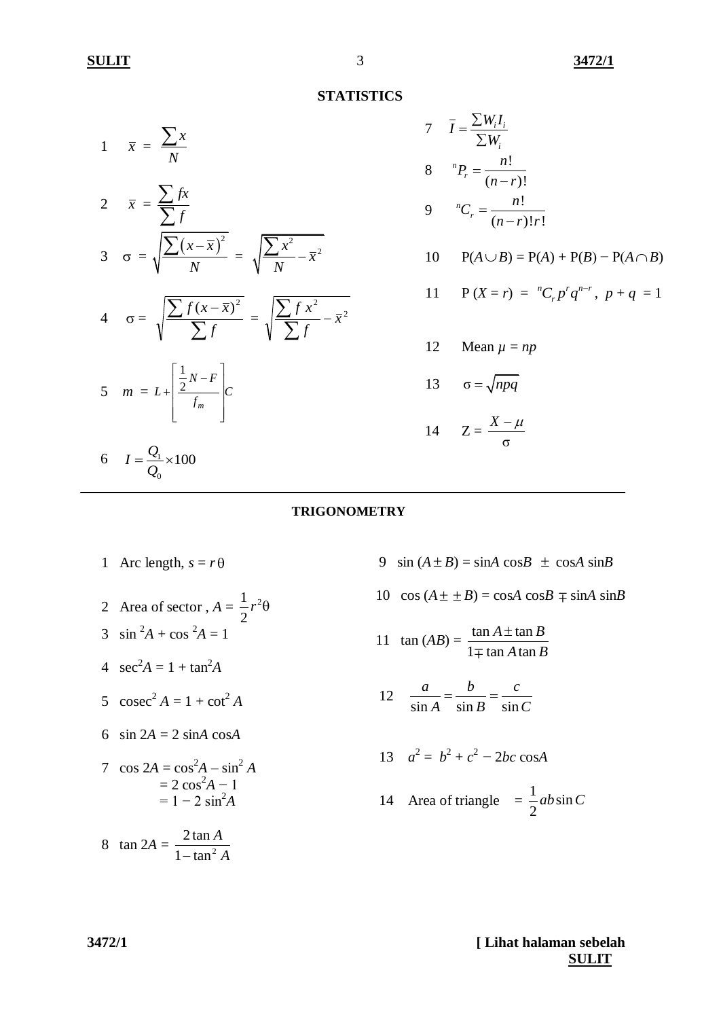### **STATISTICS**

$$
1 \quad \overline{x} = \frac{\sum x}{N}
$$

2 
$$
\overline{x} = \frac{\sum fx}{\sum f}
$$
  
3  $\sigma = \sqrt{\frac{\sum (x - \overline{x})^2}{N}} = \sqrt{\frac{\sum x^2}{N} - \overline{x}^2}$ 

$$
4 \quad \sigma = \sqrt{\frac{\sum f(x - \bar{x})^2}{\sum f}} = \sqrt{\frac{\sum f x^2}{\sum f} - \bar{x}^2}
$$

$$
5 \quad m = L + \left[ \frac{\frac{1}{2} N - F}{f_m} \right] C
$$

6  $I = \frac{Q_1}{Q_2}$  $\bf{0}$  $I = \frac{Q_1}{Q_1} \times 100$ *Q*  $=\frac{Q_1}{2}\times 1$ 

#### 7  $I = \frac{\sum w_i I_i}{\sum_{i=1}^{n}}$ *i*  $\overline{I} = \frac{\sum W_i I}{\sum W_i}$ *W*  $=\frac{\sum}{}$ Σ 8  ${}^{n}P_{r} = \frac{n!}{\sqrt{r}}$  $(n-r)!$ *n r*  $P_r = \frac{n}{r}$  $n - r$  $\equiv$  $\overline{a}$ 9  ${}^{n}C_{r} = \frac{n!}{(n+1)!}$  $(n - r)! r!$ *n r*  $C_r = \frac{n}{r}$  $n-r$ !*r*  $\equiv$  $\overline{a}$

$$
10 \qquad P(A \cup B) = P(A) + P(B) - P(A \cap B)
$$

11 
$$
P(X = r) = {}^{n}C_{r}p^{r}q^{n-r}, p+q = 1
$$

12 Mean 
$$
\mu = np
$$

$$
13 \qquad \sigma = \sqrt{npq}
$$

$$
14 \qquad Z = \frac{X - \mu}{\sigma}
$$

## **TRIGONOMETRY**

- 1 Arc length,  $s = r\theta$
- 2 Area of sector,  $A = \frac{1}{2}r^2$ 2  $r^2\theta$
- 3  $\sin^2 A + \cos^2 A = 1$
- 4  $\sec^2 A = 1 + \tan^2 A$
- 5  $\csc^2 A = 1 + \cot^2 A$
- 6  $\sin 2A = 2 \sin A \cos A$
- 7  $\cos 2A = \cos^2 A \sin^2 A$  $= 2 \cos^2 A - 1$  $= 1 - 2 \sin^2 A$

$$
8 \quad \tan 2A = \frac{2 \tan A}{1 - \tan^2 A}
$$

9  $\sin(A \pm B) = \sin A \cos B \pm \cos A \sin B$ 

 $10 \cos(A \pm \pm B) = \cos A \cos B \mp \sin A \sin B$ 

11 
$$
\tan(AB) = \frac{\tan A \pm \tan B}{1 \mp \tan A \tan B}
$$

12 
$$
\frac{a}{\sin A} = \frac{b}{\sin B} = \frac{c}{\sin C}
$$

13 
$$
a^2 = b^2 + c^2 - 2bc \cos A
$$

14 Area of triangle 
$$
=\frac{1}{2}ab\sin C
$$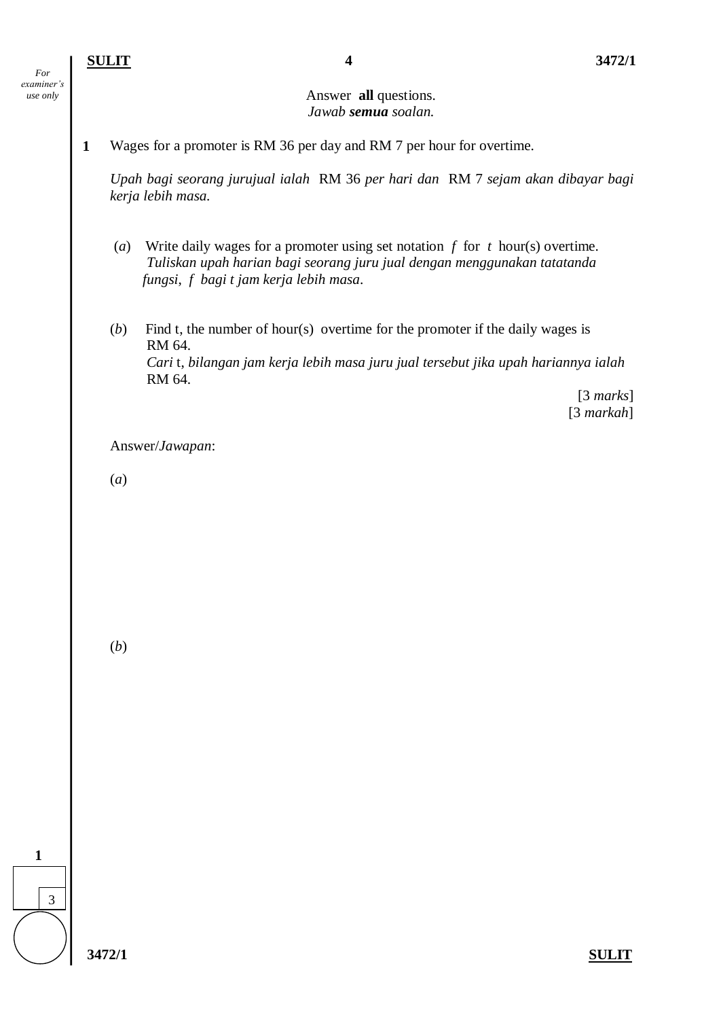## Answer **all** questions. *Jawab semua soalan.*

**1** Wages for a promoter is RM 36 per day and RM 7 per hour for overtime.

*Upah bagi seorang jurujual ialah* RM 36 *per hari dan* RM 7 *sejam akan dibayar bagi kerja lebih masa.* 

- (*a*) Write daily wages for a promoter using set notation *f* for *t* hour(s) overtime. *Tuliskan upah harian bagi seorang juru jual dengan menggunakan tatatanda fungsi*, *f bagi t jam kerja lebih masa*.
- (*b*) Find t, the number of hour(s) overtime for the promoter if the daily wages is RM 64. *Cari* t, *bilangan jam kerja lebih masa juru jual tersebut jika upah hariannya ialah*  RM 64.

 [3 *marks*] [3 *markah*]

Answer/*Jawapan*:

(*a*)

(*b*)

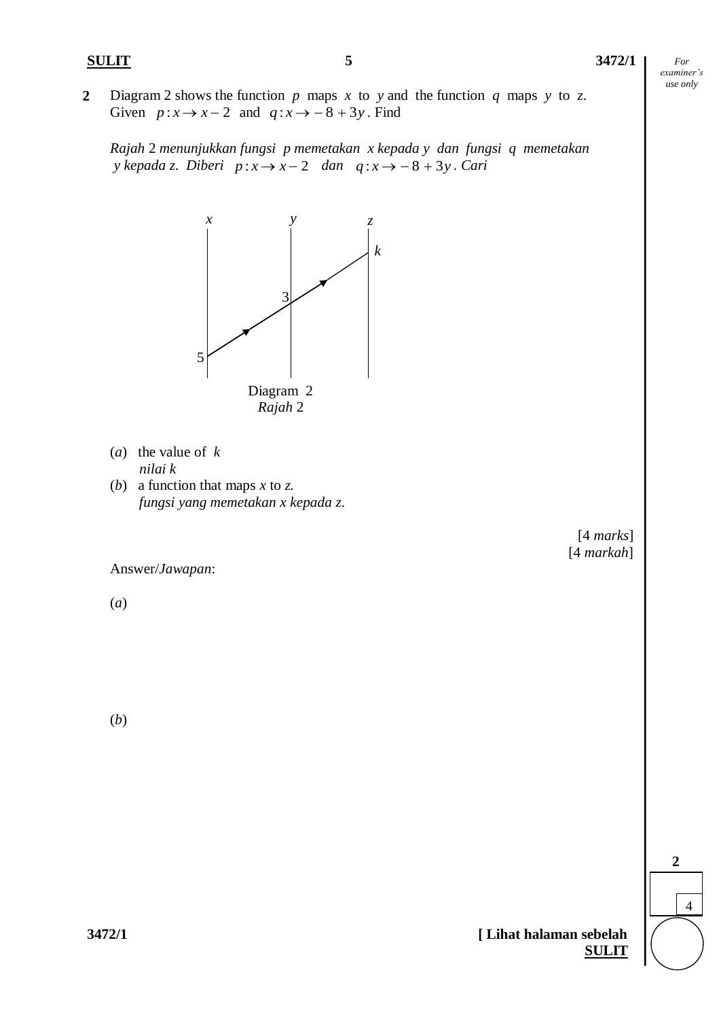**2** Diagram 2 shows the function *p* maps *x* to *y* and the function *q* maps *y* to *z*. Given  $p: x \to x-2$  and  $q: x \to -8+3y$ . Find

*Rajah* 2 *menunjukkan fungsi p memetakan x kepada y dan fungsi q memetakan y kepada z. Diberi*  $p: x \rightarrow x-2$  *dan*  $q: x \rightarrow -8+3y$ *. Cari* 



- (*a*) the value of *k nilai k*
- (*b*) a function that maps *x* to *z. fungsi yang memetakan x kepada z*.



Answer/*Jawapan*:

(*a*)

(*b*)

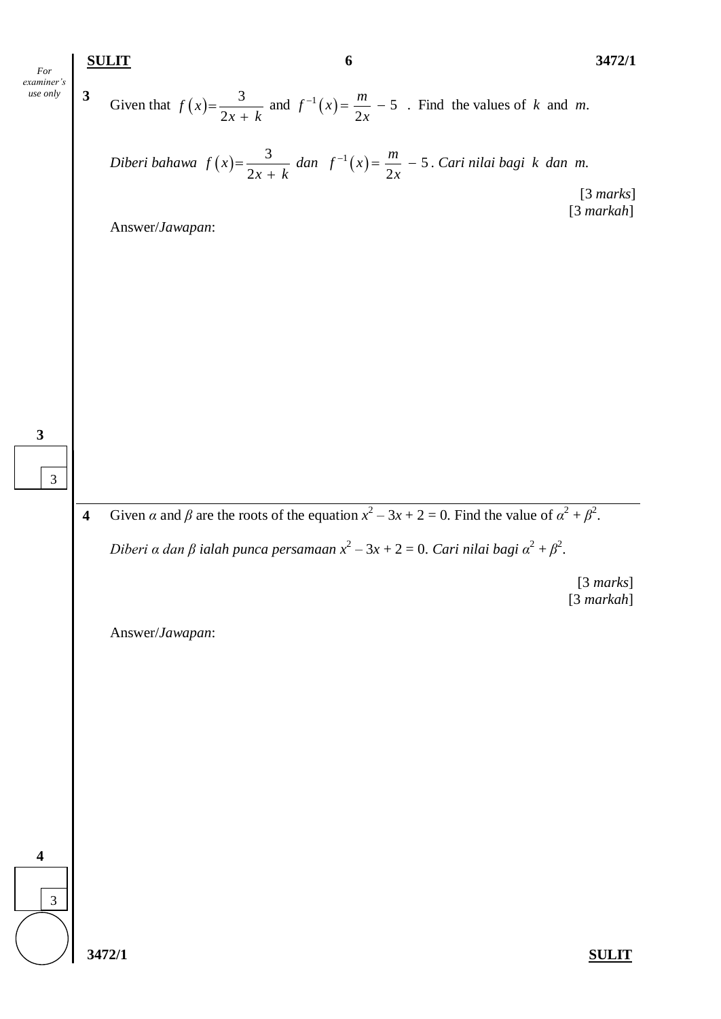**SULIT 6 3472/1**

*For examiner's use only*

3

**3**

**3** Given that  $f(x)$ 3 2 *f x*  $x + k$  $=$  $\ddot{}$ and  $f^{-1}(x) = \frac{m}{2} - 5$ 2  $f^{-1}(x) = \frac{m}{2}$ *x*  $f^{-1}(x) = \frac{m}{2} - 5$ . Find the values of *k* and *m*.

*Diberi bahawa* 3 2 *f x*  $x + k$  $=$  $\ddot{}$ dan  $f^{-1}(x) = \frac{m}{2} - 5$ 2  $f^{-1}(x) = \frac{m}{2}$ *x*  $C^{-1}(x) = \frac{m}{2} - 5$ . Cari nilai bagi k dan m.

> [3 *marks*] [3 *markah*]

Answer/*Jawapan*:

**4** Given *α* and *β* are the roots of the equation  $x^2 - 3x + 2 = 0$ . Find the value of  $\alpha^2 + \beta^2$ .

*Diberi α dan β ialah punca persamaan x* 2 – 3*x* + 2 = 0. *Cari nilai bagi α* 2 + *β* 2 .

[3 *marks*] [3 *markah*]

Answer/*Jawapan*:

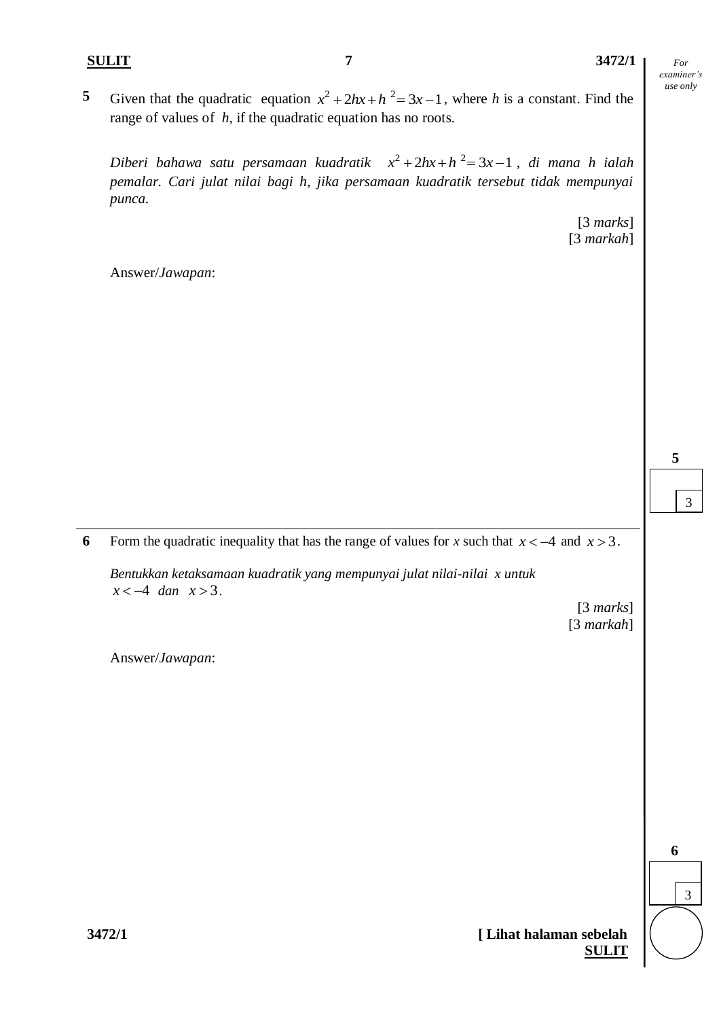5 Given that the quadratic equation  $x^2 + 2hx + h^2 = 3x - 1$ , where *h* is a constant. Find the range of values of *h*, if the quadratic equation has no roots.

*Diberi bahawa satu persamaan kuadratik*  2 2 *x hx h x* 2 3 1 , *di mana h ialah pemalar. Cari julat nilai bagi h*, *jika persamaan kuadratik tersebut tidak mempunyai punca.*

> [3 *marks*] [3 *markah*]

Answer/*Jawapan*:

**6** Form the quadratic inequality that has the range of values for *x* such that  $x < -4$  and  $x > 3$ .

*Bentukkan ketaksamaan kuadratik yang mempunyai julat nilai-nilai x untuk*   $x < -4$  *dan*  $x > 3$ .

> [3 *marks*] [3 *markah*]

Answer/*Jawapan*:



3

**5**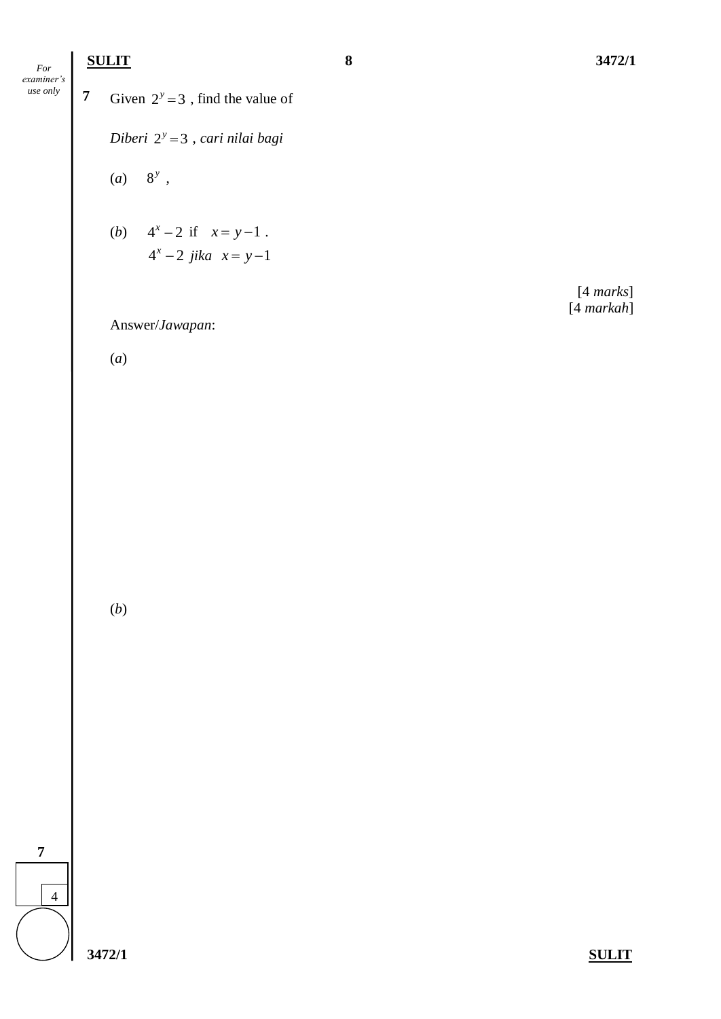## **SULIT 8 3472/1**

**7**

**3472/1 SULIT 7** Given  $2^y = 3$ , find the value of *Diberi* 2<sup>*y*</sup> = 3, *cari nilai bagi*  $(a) 8^y,$ (*b*)  $4^x - 2$  if  $x = y - 1$ .  $4^x - 2$  *jika*  $x = y - 1$ [4 *marks*] [4 *markah*] Answer/*Jawapan*: (*a*) (*b*) 4 *For examiner's use only*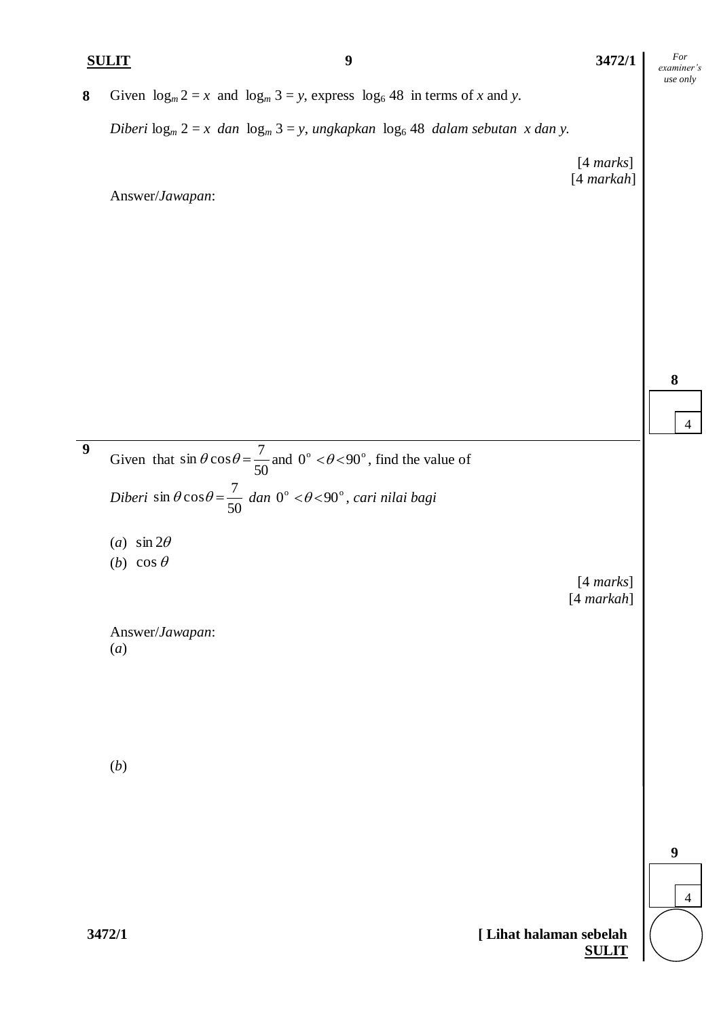**8** Given  $\log_m 2 = x$  and  $\log_m 3 = y$ , express  $\log_6 48$  in terms of *x* and *y*.

*Diberi*  $\log_m 2 = x$  *dan*  $\log_m 3 = y$ , *ungkapkan*  $\log_6 48$  *dalam sebutan x dan y.* 

[4 *marks*] [4 *markah*]

Answer/*Jawapan*:

**9** Given that 50  $\sin \theta \cos \theta = \frac{7}{50}$  and  $0^{\circ} < \theta < 90^{\circ}$ , find the value of *Diberi* 50  $\sin \theta \cos \theta = \frac{7}{50}$  dan 0° <  $\theta$  < 90°, *cari nilai bagi* (*a*)  $\sin 2\theta$ (*b*)  $\cos \theta$ [4 *marks*] [4 *markah*] Answer/*Jawapan*: (*a*)

(*b*)

4 **9**

*For examiner's use only*

**8**

 $\Delta$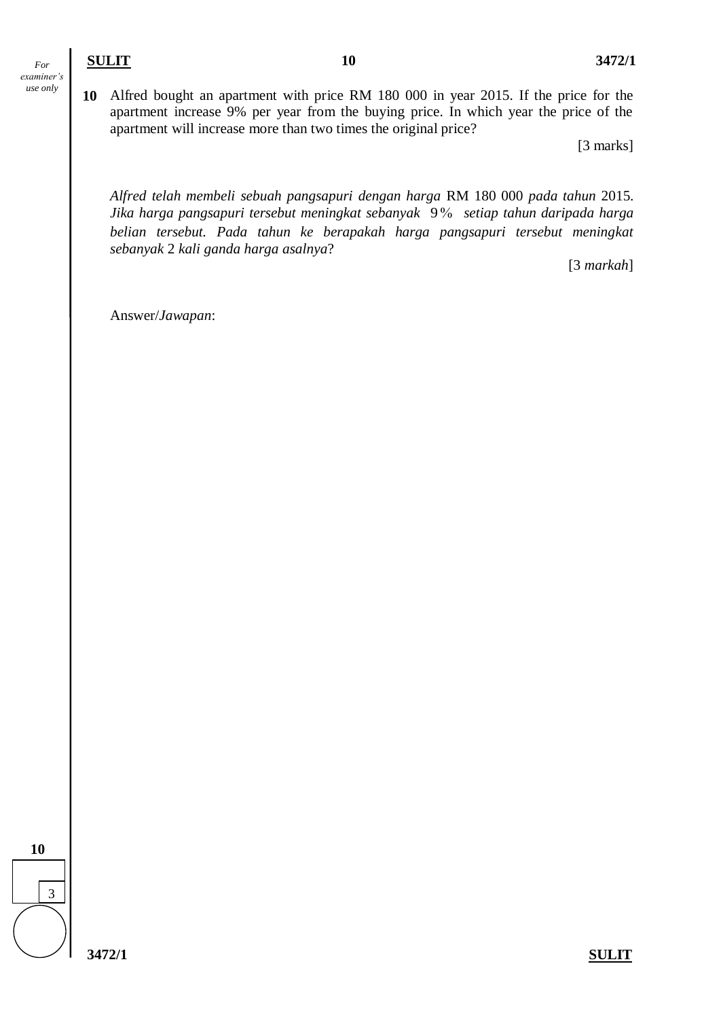**10** Alfred bought an apartment with price RM 180 000 in year 2015. If the price for the apartment increase 9% per year from the buying price. In which year the price of the apartment will increase more than two times the original price?

[3 marks]

*Alfred telah membeli sebuah pangsapuri dengan harga* RM 180 000 *pada tahun* 2015. *Jika harga pangsapuri tersebut meningkat sebanyak* 9 *setiap tahun daripada harga belian tersebut. Pada tahun ke berapakah harga pangsapuri tersebut meningkat sebanyak* 2 *kali ganda harga asalnya*?

[3 *markah*]

Answer/*Jawapan*:

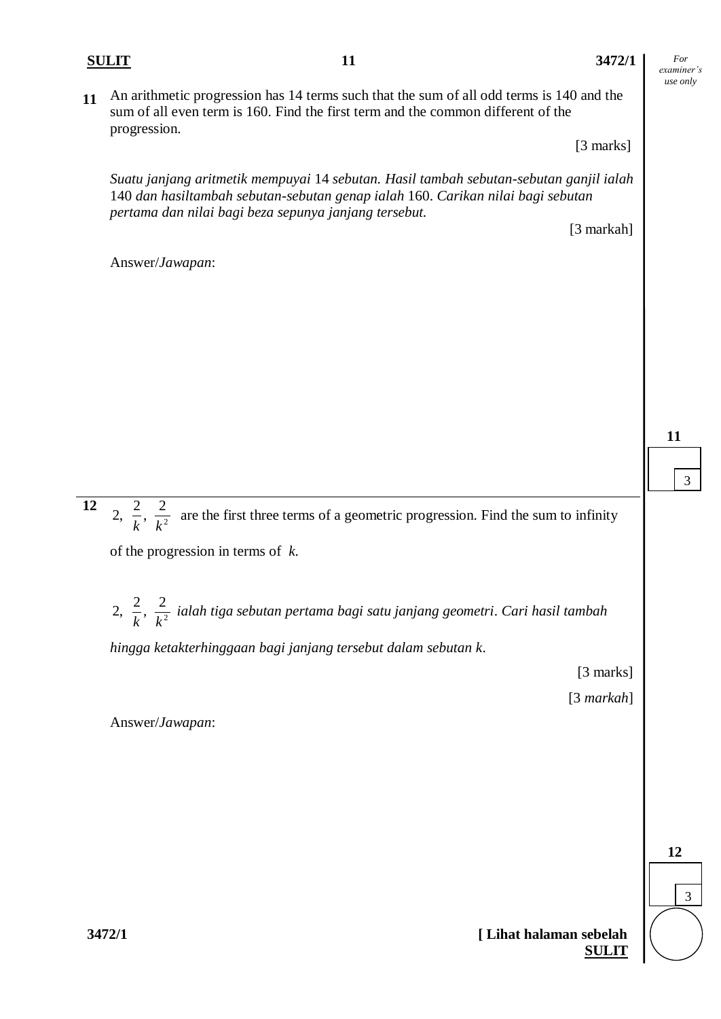## **SULIT 11 3472/1**

*For examiner's use only*

**11** An arithmetic progression has 14 terms such that the sum of all odd terms is 140 and the sum of all even term is 160. Find the first term and the common different of the progression.

[3 marks]

*Suatu janjang aritmetik mempuyai* 14 *sebutan. Hasil tambah sebutan-sebutan ganjil ialah*  140 *dan hasiltambah sebutan-sebutan genap ialah* 160. *Carikan nilai bagi sebutan pertama dan nilai bagi beza sepunya janjang tersebut.*

[3 markah]

**11**

3

4

**12** 2,  $\frac{2}{k}, \frac{2}{k^2}$ *k k* are the first three terms of a geometric progression. Find the sum to infinity

of the progression in terms of *k*.

2,  $\frac{2}{k}, \frac{2}{k^2}$ *k k ialah tiga sebutan pertama bagi satu janjang geometri*. *Cari hasil tambah*

*hingga ketakterhinggaan bagi janjang tersebut dalam sebutan k*.

[3 marks]

[3 *markah*]

Answer/*Jawapan*:

Answer/*Jawapan*:

3 **12**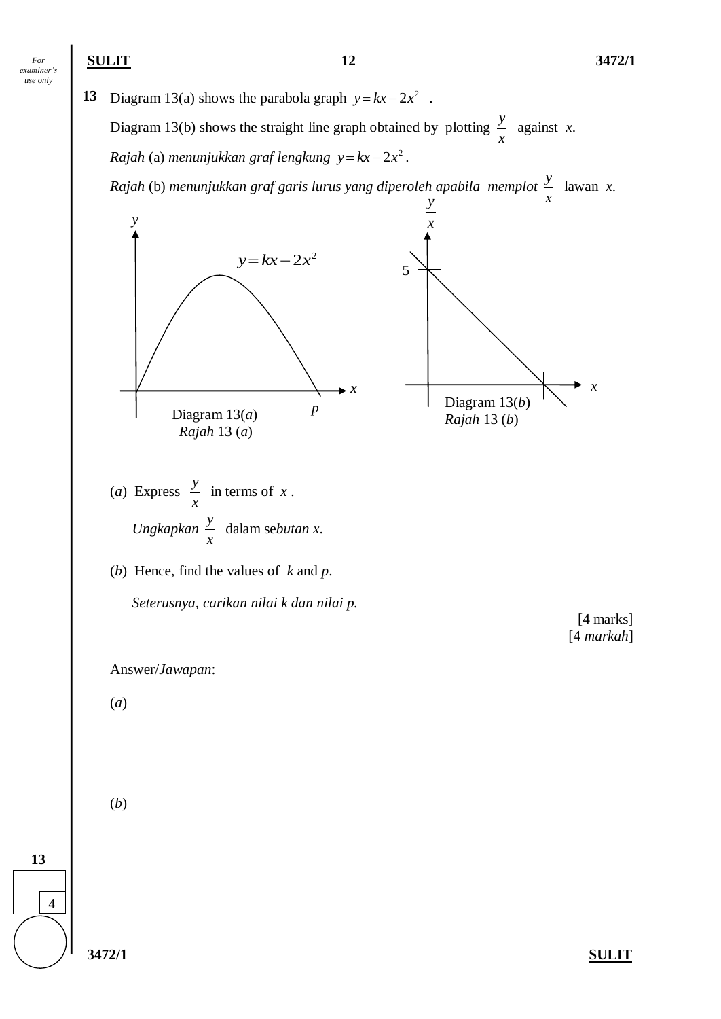**13** Diagram 13(a) shows the parabola graph  $y = kx - 2x^2$ . Diagram 13(b) shows the straight line graph obtained by plotting  $\frac{y}{x}$ *x* against *x*.  $Rajah$  (a) menunjukkan graf lengkung  $y = kx - 2x^2$ .

*Rajah* (b) *menunjukkan graf garis lurus yang diperoleh apabila memplot y* lawan *x*.

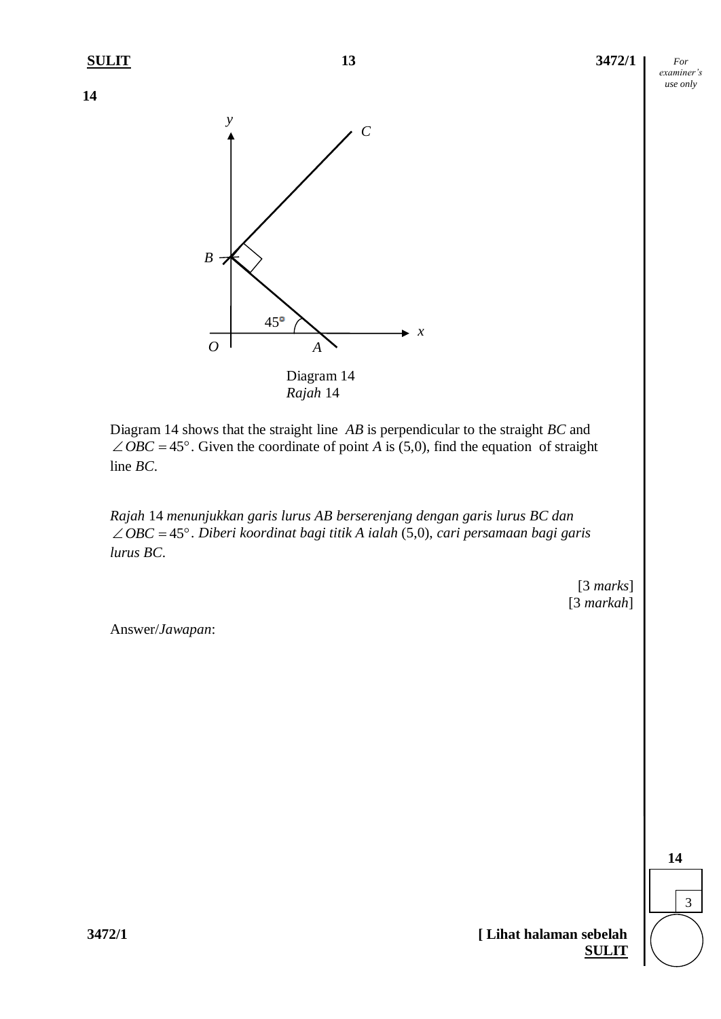**14**



Diagram 14 shows that the straight line *AB* is perpendicular to the straight *BC* and  $\angle OBC = 45^\circ$ . Given the coordinate of point *A* is (5,0), find the equation of straight line *BC*.

*Rajah* 14 *menunjukkan garis lurus AB berserenjang dengan garis lurus BC dan*   $\angle OBC = 45^\circ$ . *Diberi koordinat bagi titik A ialah* (5,0), *cari persamaan bagi garis lurus BC*.

> [3 *marks*] [3 *markah*]

Answer/*Jawapan*:

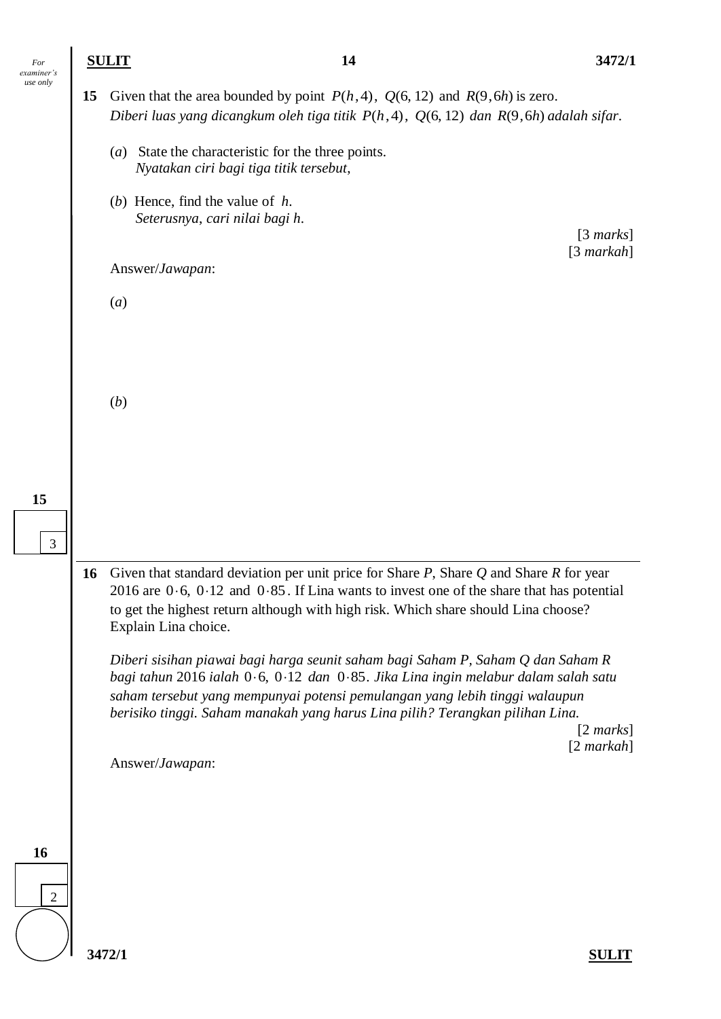| For<br>examiner's |    | <b>SULIT</b>     | 14                                                                                                                                                                                                                                                                                                                                    | 3472/1                              |
|-------------------|----|------------------|---------------------------------------------------------------------------------------------------------------------------------------------------------------------------------------------------------------------------------------------------------------------------------------------------------------------------------------|-------------------------------------|
| use only          | 15 |                  | Given that the area bounded by point $P(h, 4)$ , $Q(6, 12)$ and $R(9, 6h)$ is zero.<br>Diberi luas yang dicangkum oleh tiga titik $P(h, 4)$ , $Q(6, 12)$ dan $R(9, 6h)$ adalah sifar.                                                                                                                                                 |                                     |
|                   |    | $\left(a\right)$ | State the characteristic for the three points.<br>Nyatakan ciri bagi tiga titik tersebut,                                                                                                                                                                                                                                             |                                     |
|                   |    |                  | (b) Hence, find the value of $h$ .<br>Seterusnya, cari nilai bagi h.                                                                                                                                                                                                                                                                  | $[3 \text{ marks}]$                 |
|                   |    |                  | Answer/Jawapan:                                                                                                                                                                                                                                                                                                                       | $[3$ markah]                        |
|                   |    | $\left(a\right)$ |                                                                                                                                                                                                                                                                                                                                       |                                     |
|                   |    |                  |                                                                                                                                                                                                                                                                                                                                       |                                     |
|                   |    | (b)              |                                                                                                                                                                                                                                                                                                                                       |                                     |
|                   |    |                  |                                                                                                                                                                                                                                                                                                                                       |                                     |
| 15                |    |                  |                                                                                                                                                                                                                                                                                                                                       |                                     |
| 3                 |    |                  |                                                                                                                                                                                                                                                                                                                                       |                                     |
|                   | 16 |                  | Given that standard deviation per unit price for Share $P$ , Share $Q$ and Share $R$ for year<br>2016 are $0.6$ , $0.12$ and $0.85$ . If Lina wants to invest one of the share that has potential<br>to get the highest return although with high risk. Which share should Lina choose?<br>Explain Lina choice.                       |                                     |
|                   |    |                  | Diberi sisihan piawai bagi harga seunit saham bagi Saham P, Saham Q dan Saham R<br>bagi tahun 2016 ialah 0.6, 0.12 dan 0.85. Jika Lina ingin melabur dalam salah satu<br>saham tersebut yang mempunyai potensi pemulangan yang lebih tinggi walaupun<br>berisiko tinggi. Saham manakah yang harus Lina pilih? Terangkan pilihan Lina. |                                     |
|                   |    |                  |                                                                                                                                                                                                                                                                                                                                       | $[2 \text{ marks}]$<br>$[2$ markah] |
|                   |    |                  | Answer/Jawapan:                                                                                                                                                                                                                                                                                                                       |                                     |
|                   |    |                  |                                                                                                                                                                                                                                                                                                                                       |                                     |
| 16                |    |                  |                                                                                                                                                                                                                                                                                                                                       |                                     |
| $\overline{2}$    |    |                  |                                                                                                                                                                                                                                                                                                                                       |                                     |
|                   |    | 3472/1           |                                                                                                                                                                                                                                                                                                                                       | <b>SULIT</b>                        |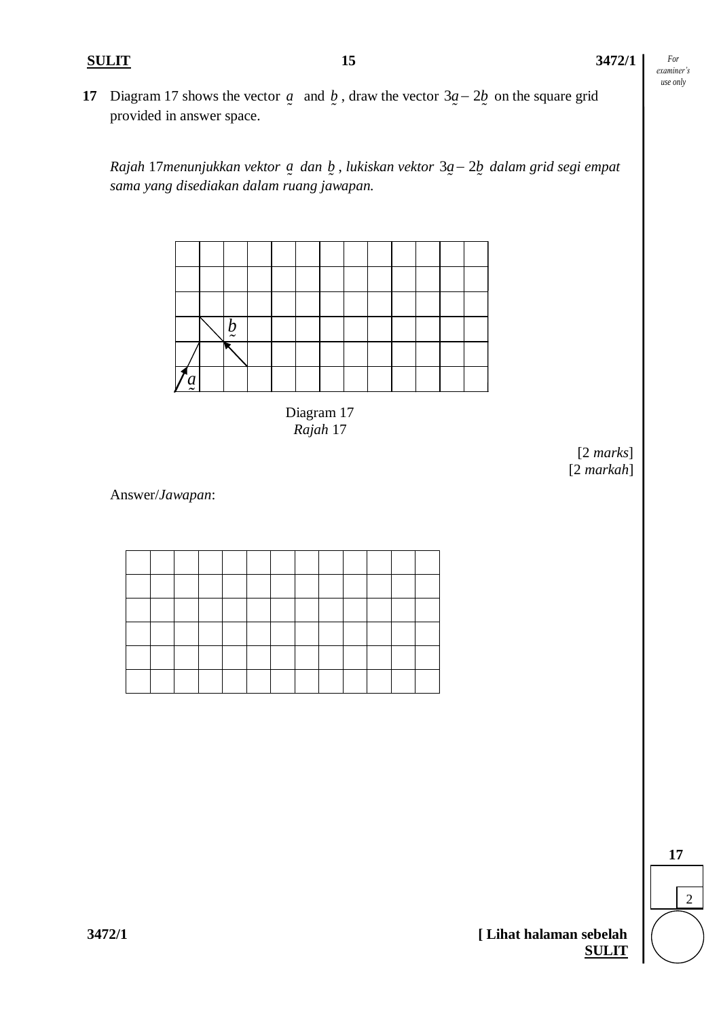**17** Diagram 17 shows the vector  $\boldsymbol{a}$  and  $\boldsymbol{b}$ , draw the vector  $3\boldsymbol{a} - 2\boldsymbol{b}$  on the square grid provided in answer space.

*Rajah* 17*menunjukkan vektor a dan b*, *lukiskan vektor* 3a – 2b dalam grid segi empat *sama yang disediakan dalam ruang jawapan.*



Diagram 17 *Rajah* 17

> [2 *marks*] [2 *markah*]

Answer/*Jawapan*:

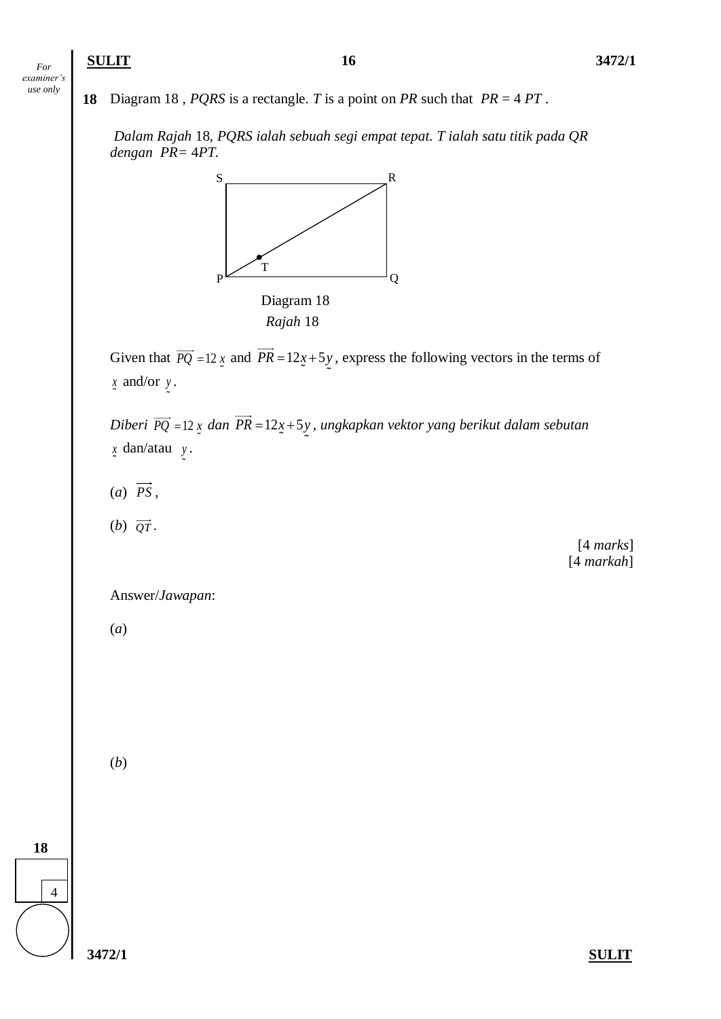## **SULIT 16 3472/1**

*For examiner's use only*

**18** Diagram 18 *, PQRS* is a rectangle. *T* is a point on *PR* such that *PR* = 4 *PT* .

*Dalam Rajah* 18*, PQRS ialah sebuah segi empat tepat. T ialah satu titik pada QR dengan PR=* 4*PT.*



Given that  $PQ = 12x$  and  $PR = 12x + 5y$ , express the following vectors in the terms of *x* and/or *y* .

*Diberi PQ* = 12 x dan PR = 12x + 5y, ungkapkan vektor yang berikut dalam sebutan *x* dan/atau *y* .

- (*a*) *PS* ,
- $(b)$   $\overrightarrow{QT}$ .

[4 *marks*] [4 *markah*]

Answer/*Jawapan*:

(*a*)

(*b*)

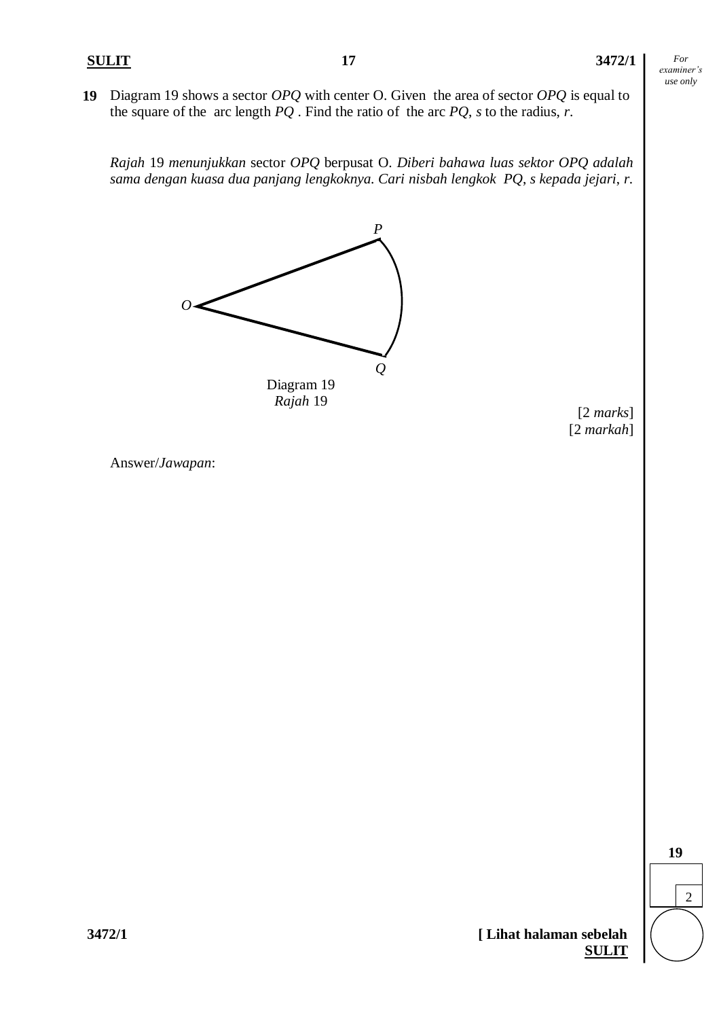**19** Diagram 19 shows a sector *OPQ* with center O. Given the area of sector *OPQ* is equal to the square of the arc length *PQ* . Find the ratio of the arc *PQ*, *s* to the radius, *r*.

*Rajah* 19 *menunjukkan* sector *OPQ* berpusat O. *Diberi bahawa luas sektor OPQ adalah sama dengan kuasa dua panjang lengkoknya. Cari nisbah lengkok PQ*, *s kepada jejari*, *r*.



*Rajah* 19

[2 *marks*] [2 *markah*]

Answer/*Jawapan*:

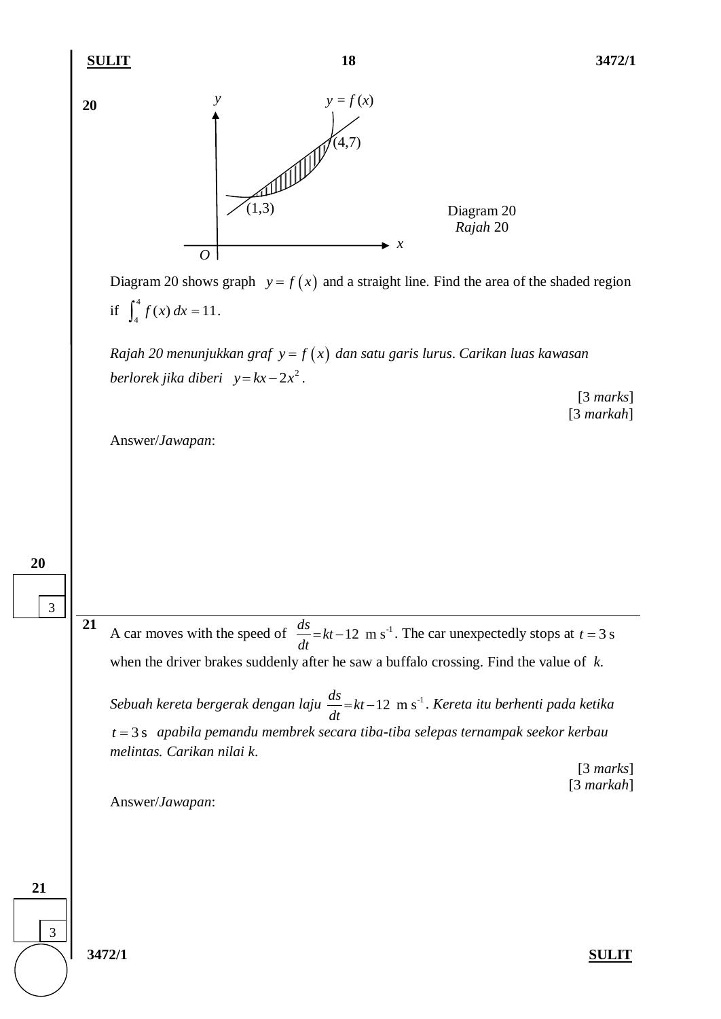**21**

**20**

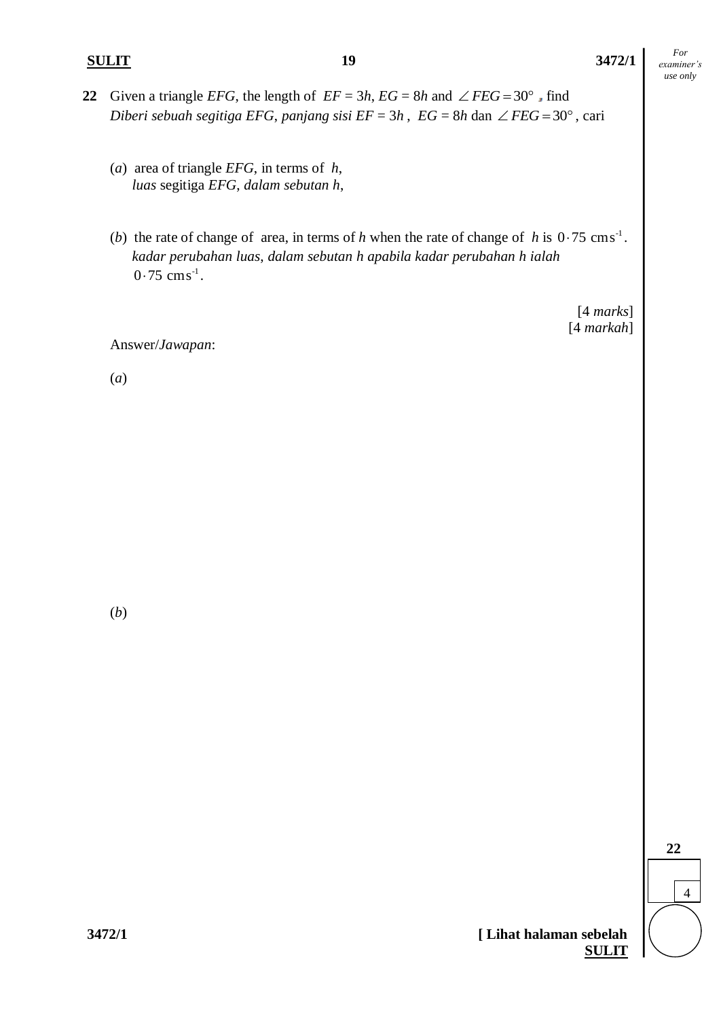## **SULIT 19 3472/1**

*For examiner's use only*

- 22 Given a triangle *EFG*, the length of  $EF = 3h$ ,  $EG = 8h$  and  $\angle FEG = 30^\circ$ , find *Diberi sebuah segitiga EFG, panjang sisi*  $EF = 3h$ *,*  $EG = 8h$  *dan*  $\angle FEG = 30^{\circ}$ *, cari* 
	- (*a*) area of triangle *EFG*, in terms of *h*,  *luas* segitiga *EFG*, *dalam sebutan h*,
	- (*b*) the rate of change of area, in terms of *h* when the rate of change of *h* is  $0.75 \text{ cm s}^{-1}$ . *kadar perubahan luas*, *dalam sebutan h apabila kadar perubahan h ialah*  $0.75$  cms<sup>-1</sup>.

[4 *marks*] [4 *markah*]

Answer/*Jawapan*:

(*a*)

(*b*)

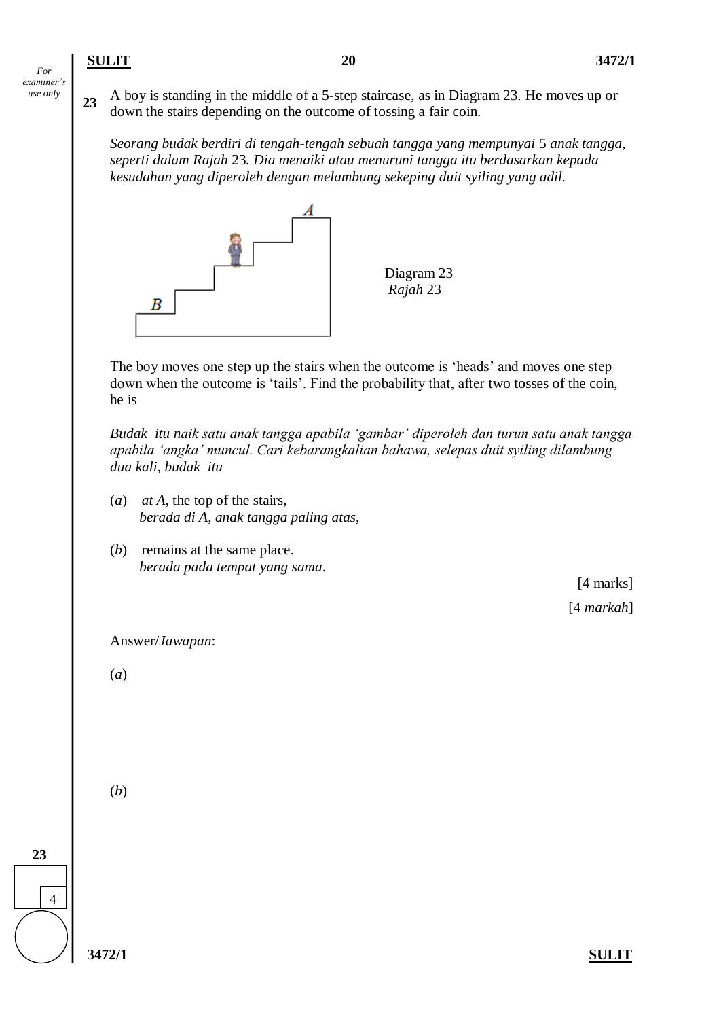**<sup>23</sup>** A boy is standing in the middle of a 5-step staircase, as in Diagram 23. He moves up or down the stairs depending on the outcome of tossing a fair coin.

*Seorang budak berdiri di tengah-tengah sebuah tangga yang mempunyai* 5 *anak tangga, seperti dalam Rajah* 23*. Dia menaiki atau menuruni tangga itu berdasarkan kepada kesudahan yang diperoleh dengan melambung sekeping duit syiling yang adil.*



The boy moves one step up the stairs when the outcome is 'heads' and moves one step down when the outcome is 'tails'. Find the probability that, after two tosses of the coin, he is

*Budak itu naik satu anak tangga apabila 'gambar' diperoleh dan turun satu anak tangga apabila 'angka' muncul. Cari kebarangkalian bahawa, selepas duit syiling dilambung dua kali, budak itu*

- (*a*) *at A*, the top of the stairs,  *berada di A, anak tangga paling atas*,
- (*b*) remains at the same place.  *berada pada tempat yang sama*.

[4 marks] [4 *markah*]

Answer/*Jawapan*:

(*a*)

(*b*)

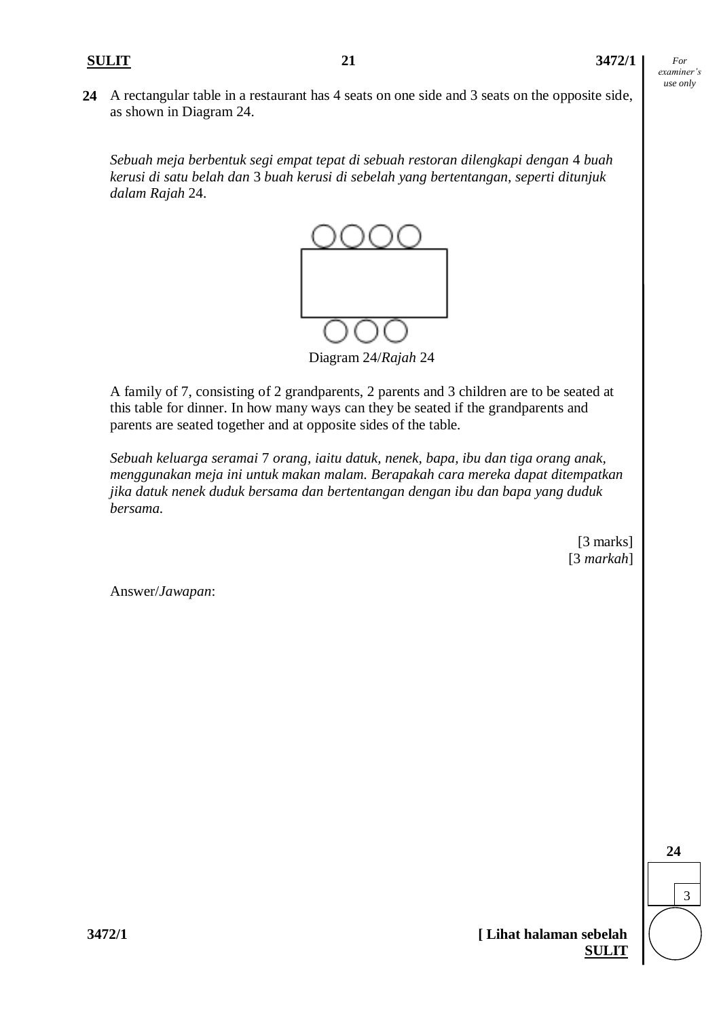**24** A rectangular table in a restaurant has 4 seats on one side and 3 seats on the opposite side, as shown in Diagram 24.

*Sebuah meja berbentuk segi empat tepat di sebuah restoran dilengkapi dengan* 4 *buah kerusi di satu belah dan* 3 *buah kerusi di sebelah yang bertentangan, seperti ditunjuk dalam Rajah* 24.



Diagram 24/*Rajah* 24

A family of 7, consisting of 2 grandparents, 2 parents and 3 children are to be seated at this table for dinner. In how many ways can they be seated if the grandparents and parents are seated together and at opposite sides of the table.

*Sebuah keluarga seramai* 7 *orang, iaitu datuk, nenek, bapa, ibu dan tiga orang anak, menggunakan meja ini untuk makan malam. Berapakah cara mereka dapat ditempatkan jika datuk nenek duduk bersama dan bertentangan dengan ibu dan bapa yang duduk bersama.* 

> [3 marks] [3 *markah*]

Answer/*Jawapan*:



$$
3472/1
$$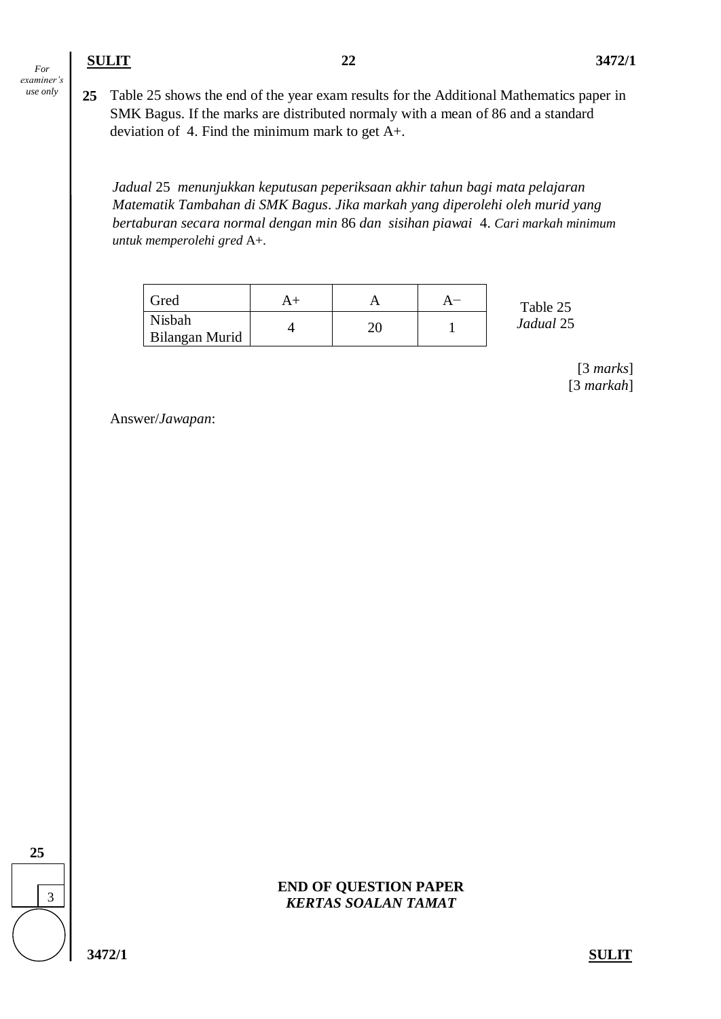**25** Table 25 shows the end of the year exam results for the Additional Mathematics paper in SMK Bagus. If the marks are distributed normaly with a mean of 86 and a standard deviation of 4. Find the minimum mark to get A+.

*Jadual* 25 *menunjukkan keputusan peperiksaan akhir tahun bagi mata pelajaran Matematik Tambahan di SMK Bagus*. *Jika markah yang diperolehi oleh murid yang bertaburan secara normal dengan min* 86 *dan sisihan piawai* 4. *Cari markah minimum untuk memperolehi gred* A+.

| Gred                     | A+ |  | Table 25  |
|--------------------------|----|--|-----------|
| Nisbah<br>Bilangan Murid |    |  | Jadual 25 |

[3 *marks*] [3 *markah*]

Answer/*Jawapan*:



**END OF QUESTION PAPER** *KERTAS SOALAN TAMAT*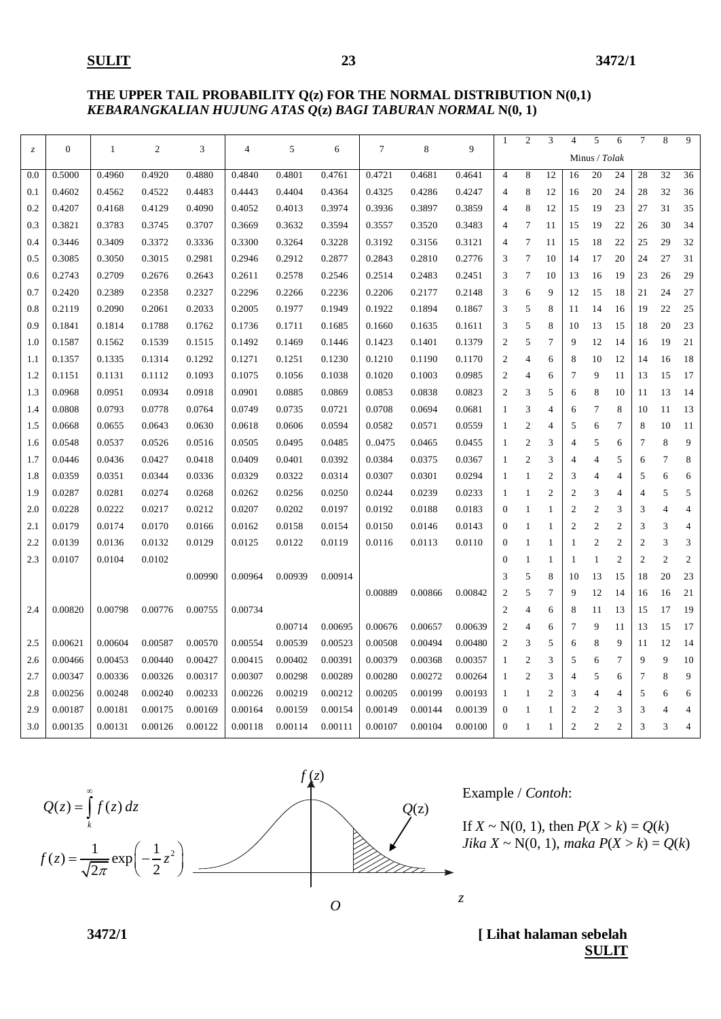#### **THE UPPER TAIL PROBABILITY Q(z) FOR THE NORMAL DISTRIBUTION N(0,1)** *KEBARANGKALIAN HUJUNG ATAS Q***(z)** *BAGI TABURAN NORMAL* **N(0, 1)**

| $\mathcal Z$ | $\boldsymbol{0}$ | 1       | $\overline{2}$ | 3       | 4       | 5       | 6       | $\overline{7}$ | 8       | 9       | $\mathbf{1}$   | $\overline{2}$ | 3              | $\overline{4}$ | 5              | 6              | 7              | 8              | $\overline{9}$ |
|--------------|------------------|---------|----------------|---------|---------|---------|---------|----------------|---------|---------|----------------|----------------|----------------|----------------|----------------|----------------|----------------|----------------|----------------|
|              |                  |         |                |         |         |         |         |                |         |         |                |                |                |                | Minus / Tolak  |                |                |                |                |
| 0.0          | 0.5000           | 0.4960  | 0.4920         | 0.4880  | 0.4840  | 0.4801  | 0.4761  | 0.4721         | 0.4681  | 0.4641  | $\overline{4}$ | 8              | 12             | 16             | 20             | 24             | 28             | 32             | 36             |
| 0.1          | 0.4602           | 0.4562  | 0.4522         | 0.4483  | 0.4443  | 0.4404  | 0.4364  | 0.4325         | 0.4286  | 0.4247  | $\overline{4}$ | 8              | 12             | 16             | 20             | 24             | 28             | 32             | 36             |
| 0.2          | 0.4207           | 0.4168  | 0.4129         | 0.4090  | 0.4052  | 0.4013  | 0.3974  | 0.3936         | 0.3897  | 0.3859  | $\overline{4}$ | 8              | 12             | 15             | 19             | 23             | 27             | 31             | 35             |
| 0.3          | 0.3821           | 0.3783  | 0.3745         | 0.3707  | 0.3669  | 0.3632  | 0.3594  | 0.3557         | 0.3520  | 0.3483  | $\overline{4}$ | $\tau$         | 11             | 15             | 19             | 22             | 26             | 30             | 34             |
| 0.4          | 0.3446           | 0.3409  | 0.3372         | 0.3336  | 0.3300  | 0.3264  | 0.3228  | 0.3192         | 0.3156  | 0.3121  | $\overline{4}$ | $\overline{7}$ | 11             | 15             | 18             | 22             | 25             | 29             | 32             |
| 0.5          | 0.3085           | 0.3050  | 0.3015         | 0.2981  | 0.2946  | 0.2912  | 0.2877  | 0.2843         | 0.2810  | 0.2776  | 3              | $\tau$         | 10             | 14             | 17             | 20             | 24             | 27             | 31             |
| 0.6          | 0.2743           | 0.2709  | 0.2676         | 0.2643  | 0.2611  | 0.2578  | 0.2546  | 0.2514         | 0.2483  | 0.2451  | 3              | $\tau$         | 10             | 13             | 16             | 19             | 23             | 26             | 29             |
| 0.7          | 0.2420           | 0.2389  | 0.2358         | 0.2327  | 0.2296  | 0.2266  | 0.2236  | 0.2206         | 0.2177  | 0.2148  | 3              | 6              | 9              | 12             | 15             | 18             | 21             | 24             | 27             |
| 0.8          | 0.2119           | 0.2090  | 0.2061         | 0.2033  | 0.2005  | 0.1977  | 0.1949  | 0.1922         | 0.1894  | 0.1867  | 3              | 5              | 8              | 11             | 14             | 16             | 19             | 22             | 25             |
| 0.9          | 0.1841           | 0.1814  | 0.1788         | 0.1762  | 0.1736  | 0.1711  | 0.1685  | 0.1660         | 0.1635  | 0.1611  | 3              | 5              | 8              | 10             | 13             | 15             | 18             | 20             | 23             |
| 1.0          | 0.1587           | 0.1562  | 0.1539         | 0.1515  | 0.1492  | 0.1469  | 0.1446  | 0.1423         | 0.1401  | 0.1379  | $\overline{2}$ | 5              | 7              | 9              | 12             | 14             | 16             | 19             | 21             |
| 1.1          | 0.1357           | 0.1335  | 0.1314         | 0.1292  | 0.1271  | 0.1251  | 0.1230  | 0.1210         | 0.1190  | 0.1170  | $\overline{2}$ | $\overline{4}$ | 6              | 8              | 10             | 12             | 14             | 16             | 18             |
| 1.2          | 0.1151           | 0.1131  | 0.1112         | 0.1093  | 0.1075  | 0.1056  | 0.1038  | 0.1020         | 0.1003  | 0.0985  | $\overline{2}$ | $\overline{4}$ | 6              | 7              | 9              | 11             | 13             | 15             | 17             |
| 1.3          | 0.0968           | 0.0951  | 0.0934         | 0.0918  | 0.0901  | 0.0885  | 0.0869  | 0.0853         | 0.0838  | 0.0823  | $\overline{2}$ | 3              | 5              | 6              | 8              | 10             | 11             | 13             | 14             |
| 1.4          | 0.0808           | 0.0793  | 0.0778         | 0.0764  | 0.0749  | 0.0735  | 0.0721  | 0.0708         | 0.0694  | 0.0681  | $\mathbf{1}$   | 3              | $\overline{4}$ | 6              | $\overline{7}$ | 8              | 10             | 11             | 13             |
| 1.5          | 0.0668           | 0.0655  | 0.0643         | 0.0630  | 0.0618  | 0.0606  | 0.0594  | 0.0582         | 0.0571  | 0.0559  | -1             | $\sqrt{2}$     | 4              | 5              | 6              | $\overline{7}$ | 8              | 10             | 11             |
| 1.6          | 0.0548           | 0.0537  | 0.0526         | 0.0516  | 0.0505  | 0.0495  | 0.0485  | 0.0475         | 0.0465  | 0.0455  | $\mathbf{1}$   | $\overline{c}$ | 3              | 4              | 5              | 6              | 7              | 8              | 9              |
| 1.7          | 0.0446           | 0.0436  | 0.0427         | 0.0418  | 0.0409  | 0.0401  | 0.0392  | 0.0384         | 0.0375  | 0.0367  | -1             | $\overline{2}$ | 3              | 4              | 4              | 5              | 6              | 7              | 8              |
| 1.8          | 0.0359           | 0.0351  | 0.0344         | 0.0336  | 0.0329  | 0.0322  | 0.0314  | 0.0307         | 0.0301  | 0.0294  | $\mathbf{1}$   | $\mathbf{1}$   | $\overline{2}$ | 3              | $\overline{4}$ | 4              | 5              | 6              | 6              |
| 1.9          | 0.0287           | 0.0281  | 0.0274         | 0.0268  | 0.0262  | 0.0256  | 0.0250  | 0.0244         | 0.0239  | 0.0233  | -1             | 1              | $\overline{c}$ | $\overline{2}$ | 3              | $\overline{4}$ | $\overline{4}$ | 5              | 5              |
| 2.0          | 0.0228           | 0.0222  | 0.0217         | 0.0212  | 0.0207  | 0.0202  | 0.0197  | 0.0192         | 0.0188  | 0.0183  | $\mathbf{0}$   | $\mathbf{1}$   | 1              | $\overline{2}$ | $\overline{2}$ | 3              | 3              | $\overline{4}$ | $\overline{4}$ |
| 2.1          | 0.0179           | 0.0174  | 0.0170         | 0.0166  | 0.0162  | 0.0158  | 0.0154  | 0.0150         | 0.0146  | 0.0143  | $\overline{0}$ | $\mathbf{1}$   | 1              | $\overline{2}$ | $\overline{2}$ | $\overline{2}$ | 3              | 3              | $\overline{4}$ |
| 2.2          | 0.0139           | 0.0136  | 0.0132         | 0.0129  | 0.0125  | 0.0122  | 0.0119  | 0.0116         | 0.0113  | 0.0110  | $\overline{0}$ | $\mathbf{1}$   | $\mathbf{1}$   | $\mathbf{1}$   | $\overline{2}$ | $\mathbf{2}$   | $\overline{c}$ | 3              | 3              |
| 2.3          | 0.0107           | 0.0104  | 0.0102         |         |         |         |         |                |         |         | $\Omega$       | $\mathbf{1}$   | $\mathbf{1}$   | $\mathbf{1}$   | 1              | $\overline{c}$ | $\overline{c}$ | $\overline{2}$ | $\overline{2}$ |
|              |                  |         |                | 0.00990 | 0.00964 | 0.00939 | 0.00914 |                |         |         | 3              | 5              | 8              | 10             | 13             | 15             | 18             | 20             | 23             |
|              |                  |         |                |         |         |         |         | 0.00889        | 0.00866 | 0.00842 | $\overline{2}$ | 5              | $\overline{7}$ | 9              | 12             | 14             | 16             | 16             | 21             |
| 2.4          | 0.00820          | 0.00798 | 0.00776        | 0.00755 | 0.00734 |         |         |                |         |         | $\overline{2}$ | $\overline{4}$ | 6              | 8              | 11             | 13             | 15             | 17             | 19             |
|              |                  |         |                |         |         | 0.00714 | 0.00695 | 0.00676        | 0.00657 | 0.00639 | $\overline{2}$ | $\overline{4}$ | 6              | $\overline{7}$ | 9              | 11             | 13             | 15             | 17             |
| 2.5          | 0.00621          | 0.00604 | 0.00587        | 0.00570 | 0.00554 | 0.00539 | 0.00523 | 0.00508        | 0.00494 | 0.00480 | $\overline{2}$ | 3              | 5              | 6              | 8              | 9              | 11             | 12             | 14             |
| 2.6          | 0.00466          | 0.00453 | 0.00440        | 0.00427 | 0.00415 | 0.00402 | 0.00391 | 0.00379        | 0.00368 | 0.00357 | -1             | $\overline{2}$ | 3              | 5              | 6              | $\overline{7}$ | 9              | 9              | 10             |
| 2.7          | 0.00347          | 0.00336 | 0.00326        | 0.00317 | 0.00307 | 0.00298 | 0.00289 | 0.00280        | 0.00272 | 0.00264 | 1              | $\overline{c}$ | 3              | 4              | 5              | 6              | 7              | 8              | 9              |
| 2.8          | 0.00256          | 0.00248 | 0.00240        | 0.00233 | 0.00226 | 0.00219 | 0.00212 | 0.00205        | 0.00199 | 0.00193 | 1              | $\mathbf{1}$   | $\overline{2}$ | 3              | $\overline{4}$ | 4              | 5              | 6              | 6              |
| 2.9          | 0.00187          | 0.00181 | 0.00175        | 0.00169 | 0.00164 | 0.00159 | 0.00154 | 0.00149        | 0.00144 | 0.00139 | $\overline{0}$ | $\mathbf{1}$   | 1              | $\overline{2}$ | $\overline{c}$ | 3              | 3              | $\overline{A}$ | 4              |
| 3.0          | 0.00135          | 0.00131 | 0.00126        | 0.00122 | 0.00118 | 0.00114 | 0.00111 | 0.00107        | 0.00104 | 0.00100 | $\mathbf{0}$   | -1             | $\overline{1}$ | $\overline{2}$ | $\overline{c}$ | $\overline{c}$ | 3              | 3              | $\overline{4}$ |
|              |                  |         |                |         |         |         |         |                |         |         |                |                |                |                |                |                |                |                |                |



Example / *Contoh*:

If  $X \sim N(0, 1)$ , then  $P(X > k) = Q(k)$ *Jika*  $X \sim N(0, 1)$ , *maka*  $P(X > k) = Q(k)$ 

**3472/1 [ Lihat halaman sebelah SULIT**